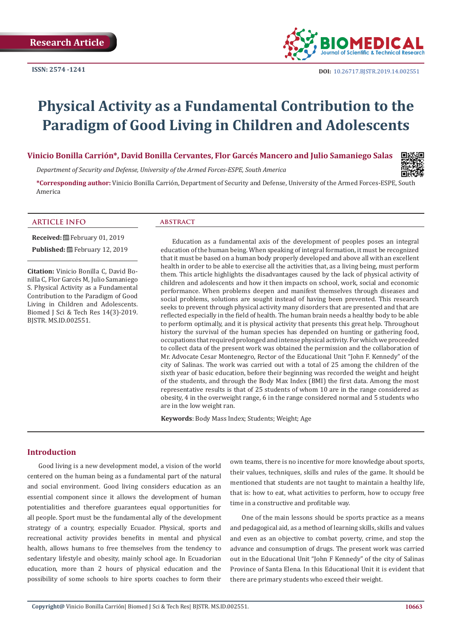

# **Physical Activity as a Fundamental Contribution to the Paradigm of Good Living in Children and Adolescents**

# **Vinicio Bonilla Carrión\*, David Bonilla Cervantes, Flor Garcés Mancero and Julio Samaniego Salas**

*Department of Security and Defense, University of the Armed Forces-ESPE, South America*



**\*Corresponding author:** Vinicio Bonilla Carrión, Department of Security and Defense, University of the Armed Forces-ESPE, South America

## **ARTICLE INFO abstract**

**Received:** February 01, 2019 Published: **■**February 12, 2019

**Citation:** Vinicio Bonilla C, David Bonilla C, Flor Garcés M, Julio Samaniego S. Physical Activity as a Fundamental Contribution to the Paradigm of Good Living in Children and Adolescents. Biomed J Sci & Tech Res 14(3)-2019. BJSTR. MS.ID.002551.

Education as a fundamental axis of the development of peoples poses an integral education of the human being. When speaking of integral formation, it must be recognized that it must be based on a human body properly developed and above all with an excellent health in order to be able to exercise all the activities that, as a living being, must perform them. This article highlights the disadvantages caused by the lack of physical activity of children and adolescents and how it then impacts on school, work, social and economic performance. When problems deepen and manifest themselves through diseases and social problems, solutions are sought instead of having been prevented. This research seeks to prevent through physical activity many disorders that are presented and that are reflected especially in the field of health. The human brain needs a healthy body to be able to perform optimally, and it is physical activity that presents this great help. Throughout history the survival of the human species has depended on hunting or gathering food, occupations that required prolonged and intense physical activity. For which we proceeded to collect data of the present work was obtained the permission and the collaboration of Mr. Advocate Cesar Montenegro, Rector of the Educational Unit "John F. Kennedy" of the city of Salinas. The work was carried out with a total of 25 among the children of the sixth year of basic education, before their beginning was recorded the weight and height of the students, and through the Body Max Index (BMI) the first data. Among the most representative results is that of 25 students of whom 10 are in the range considered as obesity, 4 in the overweight range, 6 in the range considered normal and 5 students who are in the low weight ran.

**Keywords**: Body Mass Index; Students; Weight; Age

# **Introduction**

Good living is a new development model, a vision of the world centered on the human being as a fundamental part of the natural and social environment. Good living considers education as an essential component since it allows the development of human potentialities and therefore guarantees equal opportunities for all people. Sport must be the fundamental ally of the development strategy of a country, especially Ecuador. Physical, sports and recreational activity provides benefits in mental and physical health, allows humans to free themselves from the tendency to sedentary lifestyle and obesity, mainly school age. In Ecuadorian education, more than 2 hours of physical education and the possibility of some schools to hire sports coaches to form their

own teams, there is no incentive for more knowledge about sports, their values, techniques, skills and rules of the game. It should be mentioned that students are not taught to maintain a healthy life, that is: how to eat, what activities to perform, how to occupy free time in a constructive and profitable way.

One of the main lessons should be sports practice as a means and pedagogical aid, as a method of learning skills, skills and values and even as an objective to combat poverty, crime, and stop the advance and consumption of drugs. The present work was carried out in the Educational Unit "John F Kennedy" of the city of Salinas Province of Santa Elena. In this Educational Unit it is evident that there are primary students who exceed their weight.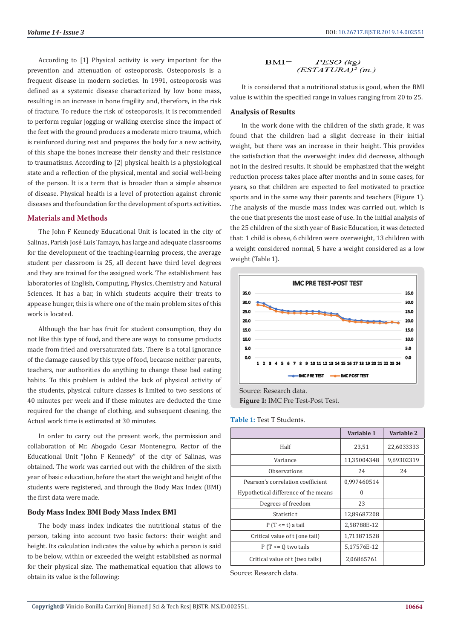According to [1] Physical activity is very important for the prevention and attenuation of osteoporosis. Osteoporosis is a frequent disease in modern societies. In 1991, osteoporosis was defined as a systemic disease characterized by low bone mass, resulting in an increase in bone fragility and, therefore, in the risk of fracture. To reduce the risk of osteoporosis, it is recommended to perform regular jogging or walking exercise since the impact of the feet with the ground produces a moderate micro trauma, which is reinforced during rest and prepares the body for a new activity, of this shape the bones increase their density and their resistance to traumatisms. According to [2] physical health is a physiological state and a reflection of the physical, mental and social well-being of the person. It is a term that is broader than a simple absence of disease. Physical health is a level of protection against chronic diseases and the foundation for the development of sports activities.

### **Materials and Methods**

The John F Kennedy Educational Unit is located in the city of Salinas, Parish José Luis Tamayo, has large and adequate classrooms for the development of the teaching-learning process, the average student per classroom is 25, all decent have third level degrees and they are trained for the assigned work. The establishment has laboratories of English, Computing, Physics, Chemistry and Natural Sciences. It has a bar, in which students acquire their treats to appease hunger, this is where one of the main problem sites of this work is located.

Although the bar has fruit for student consumption, they do not like this type of food, and there are ways to consume products made from fried and oversaturated fats. There is a total ignorance of the damage caused by this type of food, because neither parents, teachers, nor authorities do anything to change these bad eating habits. To this problem is added the lack of physical activity of the students, physical culture classes is limited to two sessions of 40 minutes per week and if these minutes are deducted the time required for the change of clothing, and subsequent cleaning, the Actual work time is estimated at 30 minutes.

In order to carry out the present work, the permission and collaboration of Mr. Abogado Cesar Montenegro, Rector of the Educational Unit "John F Kennedy" of the city of Salinas, was obtained. The work was carried out with the children of the sixth year of basic education, before the start the weight and height of the students were registered, and through the Body Max Index (BMI) the first data were made.

# **Body Mass Index BMI Body Mass Index BMI**

The body mass index indicates the nutritional status of the person, taking into account two basic factors: their weight and height. Its calculation indicates the value by which a person is said to be below, within or exceeded the weight established as normal for their physical size. The mathematical equation that allows to obtain its value is the following:

$$
BMI = \frac{PESO (kg)}{(ESTATURE)^2 (m.)}
$$

It is considered that a nutritional status is good, when the BMI value is within the specified range in values ranging from 20 to 25.

#### **Analysis of Results**

In the work done with the children of the sixth grade, it was found that the children had a slight decrease in their initial weight, but there was an increase in their height. This provides the satisfaction that the overweight index did decrease, although not in the desired results. It should be emphasized that the weight reduction process takes place after months and in some cases, for years, so that children are expected to feel motivated to practice sports and in the same way their parents and teachers (Figure 1). The analysis of the muscle mass index was carried out, which is the one that presents the most ease of use. In the initial analysis of the 25 children of the sixth year of Basic Education, it was detected that: 1 child is obese, 6 children were overweight, 13 children with a weight considered normal, 5 have a weight considered as a low weight (Table 1).



**Figure 1:** IMC Pre Test-Post Test.

**Table 1:** Test T Students.

|                                      | Variable 1  | Variable 2 |
|--------------------------------------|-------------|------------|
| Half                                 | 23,51       | 22,6033333 |
| Variance                             | 11,35004348 | 9,69302319 |
| Observations                         | 24          | 24         |
| Pearson's correlation coefficient    | 0,997460514 |            |
| Hypothetical difference of the means | 0           |            |
| Degrees of freedom                   | 23          |            |
| Statistic t                          | 12,89687208 |            |
| $P(T \le t)$ a tail                  | 2,58788E-12 |            |
| Critical value of t (one tail)       | 1,713871528 |            |
| $P(T \le t)$ two tails               | 5,17576E-12 |            |
| Critical value of t (two tails)      | 2,06865761  |            |

Source: Research data.